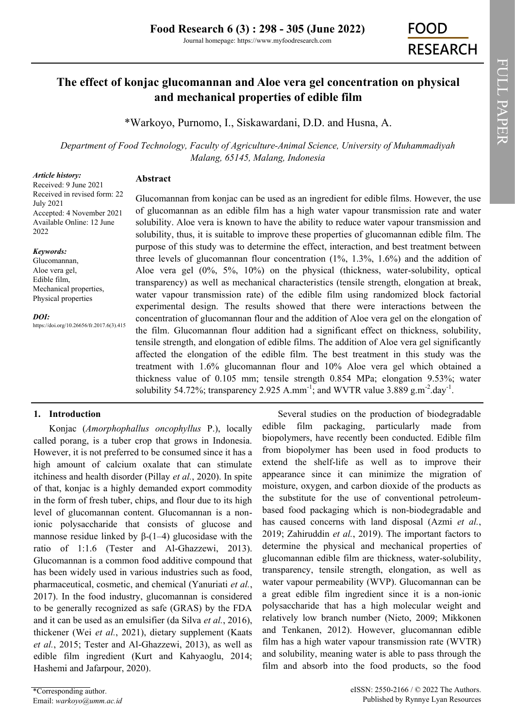# **The effect of konjac glucomannan and Aloe vera gel concentration on physical and mechanical properties of edible film**

\*[Warkoyo,](https://orcid.org/0000-0002-9076-1625) [Purnomo, I.,](https://orcid.org/0000-0002-6207-5935) [Siskawardani, D.D. a](https://orcid.org/0000-0003-4675-832X)nd [Husna, A.](https://orcid.org/0000-0003-3554-9792)

*Department of Food Technology, Faculty of Agriculture-Animal Science, University of Muhammadiyah Malang, 65145, Malang, Indonesia*

### *Article history:*

**Abstract**

Received: 9 June 2021 Received in revised form: 22 July 2021 Accepted: 4 November 2021 Available Online: 12 June 2022

### *Keywords:*

Glucomannan, Aloe vera gel, Edible film, Mechanical properties, Physical properties

#### *DOI:*

https://doi.org/10.26656/fr.2017.6(3).415

Glucomannan from konjac can be used as an ingredient for edible films. However, the use of glucomannan as an edible film has a high water vapour transmission rate and water solubility. Aloe vera is known to have the ability to reduce water vapour transmission and solubility, thus, it is suitable to improve these properties of glucomannan edible film. The purpose of this study was to determine the effect, interaction, and best treatment between three levels of glucomannan flour concentration (1%, 1.3%, 1.6%) and the addition of Aloe vera gel (0%, 5%, 10%) on the physical (thickness, water-solubility, optical transparency) as well as mechanical characteristics (tensile strength, elongation at break, water vapour transmission rate) of the edible film using randomized block factorial experimental design. The results showed that there were interactions between the concentration of glucomannan flour and the addition of Aloe vera gel on the elongation of the film. Glucomannan flour addition had a significant effect on thickness, solubility, tensile strength, and elongation of edible films. The addition of Aloe vera gel significantly affected the elongation of the edible film. The best treatment in this study was the treatment with 1.6% glucomannan flour and 10% Aloe vera gel which obtained a thickness value of 0.105 mm; tensile strength 0.854 MPa; elongation 9.53%; water solubility 54.72%; transparency 2.925 A.mm<sup>-1</sup>; and WVTR value 3.889  $g.m^{-2}.day^{-1}.$ 

# **1. Introduction**

Konjac (*Amorphophallus oncophyllus* P.), locally called porang, is a tuber crop that grows in Indonesia. However, it is not preferred to be consumed since it has a high amount of calcium oxalate that can stimulate itchiness and health disorder (Pillay *et al.*, 2020). In spite of that, konjac is a highly demanded export commodity in the form of fresh tuber, chips, and flour due to its high level of glucomannan content. Glucomannan is a nonionic polysaccharide that consists of glucose and mannose residue linked by  $\beta$ -(1–4) glucosidase with the ratio of 1:1.6 (Tester and Al-Ghazzewi, 2013). Glucomannan is a common food additive compound that has been widely used in various industries such as food, pharmaceutical, cosmetic, and chemical (Yanuriati *et al.*, 2017). In the food industry, glucomannan is considered to be generally recognized as safe (GRAS) by the FDA and it can be used as an emulsifier (da Silva *et al.*, 2016), thickener (Wei *et al.*, 2021), dietary supplement (Kaats *et al.*, 2015; Tester and Al-Ghazzewi, 2013), as well as edible film ingredient (Kurt and Kahyaoglu, 2014; Hashemi and Jafarpour, 2020).

biopolymers, have recently been conducted. Edible film from biopolymer has been used in food products to extend the shelf-life as well as to improve their appearance since it can minimize the migration of moisture, oxygen, and carbon dioxide of the products as the substitute for the use of conventional petroleumbased food packaging which is non-biodegradable and has caused concerns with land disposal (Azmi *et al.*, 2019; Zahiruddin *et al.*, 2019). The important factors to determine the physical and mechanical properties of glucomannan edible film are thickness, water-solubility, transparency, tensile strength, elongation, as well as water vapour permeability (WVP). Glucomannan can be a great edible film ingredient since it is a non-ionic polysaccharide that has a high molecular weight and relatively low branch number (Nieto, 2009; Mikkonen and Tenkanen, 2012). However, glucomannan edible film has a high water vapour transmission rate (WVTR) and solubility, meaning water is able to pass through the film and absorb into the food products, so the food

Several studies on the production of biodegradable edible film packaging, particularly made from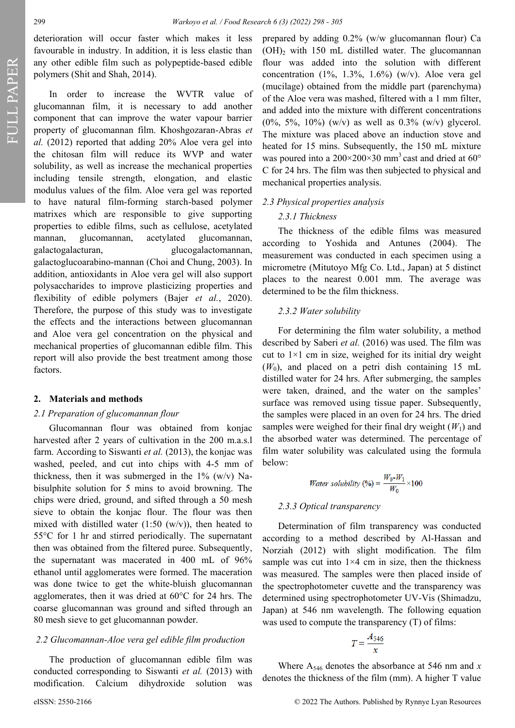FULL PAPER

deterioration will occur faster which makes it less favourable in industry. In addition, it is less elastic than any other edible film such as polypeptide-based edible polymers (Shit and Shah, 2014).

In order to increase the WVTR value of glucomannan film, it is necessary to add another component that can improve the water vapour barrier property of glucomannan film. Khoshgozaran-Abras *et al.* (2012) reported that adding 20% Aloe vera gel into the chitosan film will reduce its WVP and water solubility, as well as increase the mechanical properties including tensile strength, elongation, and elastic modulus values of the film. Aloe vera gel was reported to have natural film-forming starch-based polymer matrixes which are responsible to give supporting properties to edible films, such as cellulose, acetylated mannan, glucomannan, acetylated glucomannan, galactogalacturan, glucogalactomannan, galactoglucoarabino-mannan (Choi and Chung, 2003). In addition, antioxidants in Aloe vera gel will also support polysaccharides to improve plasticizing properties and flexibility of edible polymers (Bajer *et al.*, 2020). Therefore, the purpose of this study was to investigate the effects and the interactions between glucomannan and Aloe vera gel concentration on the physical and mechanical properties of glucomannan edible film. This report will also provide the best treatment among those factors.

#### **2. Materials and methods**

#### *2.1 Preparation of glucomannan flour*

Glucomannan flour was obtained from konjac harvested after 2 years of cultivation in the 200 m.a.s.l farm. According to Siswanti *et al.* (2013), the konjac was washed, peeled, and cut into chips with 4-5 mm of thickness, then it was submerged in the  $1\%$  (w/v) Nabisulphite solution for 5 mins to avoid browning. The chips were dried, ground, and sifted through a 50 mesh sieve to obtain the konjac flour. The flour was then mixed with distilled water  $(1:50 \, (w/v))$ , then heated to 55°C for 1 hr and stirred periodically. The supernatant then was obtained from the filtered puree. Subsequently, the supernatant was macerated in 400 mL of 96% ethanol until agglomerates were formed. The maceration was done twice to get the white-bluish glucomannan agglomerates, then it was dried at 60°C for 24 hrs. The coarse glucomannan was ground and sifted through an 80 mesh sieve to get glucomannan powder.

#### *2.2 Glucomannan-Aloe vera gel edible film production*

The production of glucomannan edible film was conducted corresponding to Siswanti *et al.* (2013) with modification. Calcium dihydroxide solution was

prepared by adding 0.2% (w/w glucomannan flour) Ca  $(OH)$ <sub>2</sub> with 150 mL distilled water. The glucomannan flour was added into the solution with different concentration  $(1\%, 1.3\%, 1.6\%)$  (w/v). Aloe vera gel (mucilage) obtained from the middle part (parenchyma) of the Aloe vera was mashed, filtered with a 1 mm filter, and added into the mixture with different concentrations  $(0\%, 5\%, 10\%)$  (w/v) as well as 0.3% (w/v) glycerol. The mixture was placed above an induction stove and heated for 15 mins. Subsequently, the 150 mL mixture was poured into a  $200 \times 200 \times 30$  mm<sup>3</sup> cast and dried at 60° C for 24 hrs. The film was then subjected to physical and mechanical properties analysis.

#### *2.3 Physical properties analysis*

#### *2.3.1 Thickness*

The thickness of the edible films was measured according to Yoshida and Antunes (2004). The measurement was conducted in each specimen using a micrometre (Mitutoyo Mfg Co. Ltd., Japan) at 5 distinct places to the nearest 0.001 mm. The average was determined to be the film thickness.

#### *2.3.2 Water solubility*

For determining the film water solubility, a method described by Saberi *et al.* (2016) was used. The film was cut to  $1\times1$  cm in size, weighed for its initial dry weight  $(W<sub>0</sub>)$ , and placed on a petri dish containing 15 mL distilled water for 24 hrs. After submerging, the samples were taken, drained, and the water on the samples' surface was removed using tissue paper. Subsequently, the samples were placed in an oven for 24 hrs. The dried samples were weighed for their final dry weight  $(W_1)$  and the absorbed water was determined. The percentage of film water solubility was calculated using the formula below:

*Water solubility* (%) = 
$$
\frac{W_0-W_1}{W_0} \times 100
$$

#### *2.3.3 Optical transparency*

Determination of film transparency was conducted according to a method described by Al-Hassan and Norziah (2012) with slight modification. The film sample was cut into  $1\times4$  cm in size, then the thickness was measured. The samples were then placed inside of the spectrophotometer cuvette and the transparency was determined using spectrophotometer UV-Vis (Shimadzu, Japan) at 546 nm wavelength. The following equation was used to compute the transparency (T) of films:

$$
T = \frac{A_{546}}{x}
$$

Where A<sup>546</sup> denotes the absorbance at 546 nm and *x* denotes the thickness of the film (mm). A higher T value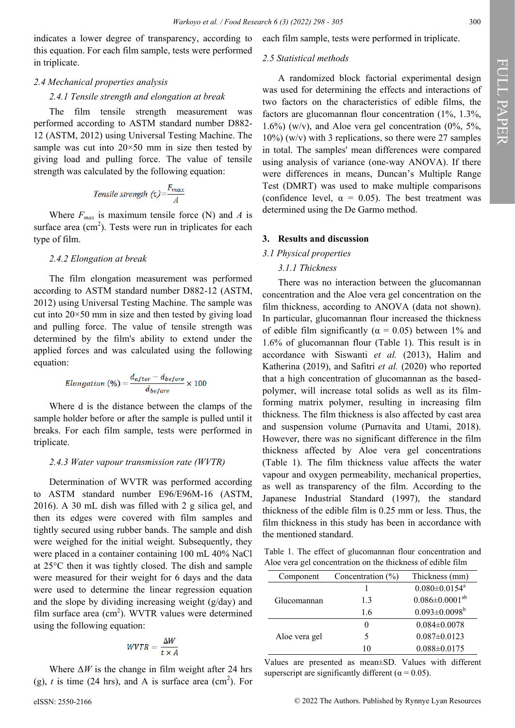indicates a lower degree of transparency, according to this equation. For each film sample, tests were performed in triplicate.

# *2.4 Mechanical properties analysis 2.4.1 Tensile strength and elongation at break*

The film tensile strength measurement was performed according to ASTM standard number D882- 12 (ASTM, 2012) using Universal Testing Machine. The sample was cut into  $20 \times 50$  mm in size then tested by giving load and pulling force. The value of tensile strength was calculated by the following equation:

Tensile strength 
$$
\tau = \frac{F_{max}}{A}
$$

Where  $F_{max}$  is maximum tensile force (N) and *A* is surface area  $(cm<sup>2</sup>)$ . Tests were run in triplicates for each type of film.

#### *2.4.2 Elongation at break*

The film elongation measurement was performed according to ASTM standard number D882-12 (ASTM, 2012) using Universal Testing Machine. The sample was cut into  $20 \times 50$  mm in size and then tested by giving load and pulling force. The value of tensile strength was determined by the film's ability to extend under the applied forces and was calculated using the following equation:

$$
Elongation (%) = \frac{d_{after} - d_{before}}{d_{before}} \times 100
$$

Where d is the distance between the clamps of the sample holder before or after the sample is pulled until it breaks. For each film sample, tests were performed in triplicate.

#### *2.4.3 Water vapour transmission rate (WVTR)*

Determination of WVTR was performed according to ASTM standard number E96/E96M-16 (ASTM, 2016). A 30 mL dish was filled with 2 g silica gel, and then its edges were covered with film samples and tightly secured using rubber bands. The sample and dish were weighed for the initial weight. Subsequently, they were placed in a container containing 100 mL 40% NaCl at 25°C then it was tightly closed. The dish and sample were measured for their weight for 6 days and the data were used to determine the linear regression equation and the slope by dividing increasing weight (g/day) and film surface area  $(cm^2)$ . WVTR values were determined using the following equation:

$$
WVTR = \frac{\Delta W}{t \times A}
$$

Where  $\Delta W$  is the change in film weight after 24 hrs (g),  $t$  is time (24 hrs), and A is surface area (cm<sup>2</sup>). For each film sample, tests were performed in triplicate.

#### *2.5 Statistical methods*

A randomized block factorial experimental design was used for determining the effects and interactions of two factors on the characteristics of edible films, the factors are glucomannan flour concentration (1%, 1.3%, 1.6%) (w/v), and Aloe vera gel concentration  $(0\%, 5\%, \%)$  $10\%$ ) (w/v) with 3 replications, so there were 27 samples in total. The samples' mean differences were compared using analysis of variance (one-way ANOVA). If there were differences in means, Duncan's Multiple Range Test (DMRT) was used to make multiple comparisons (confidence level,  $\alpha = 0.05$ ). The best treatment was determined using the De Garmo method.

#### **3. Results and discussion**

### *3.1 Physical properties*

#### *3.1.1 Thickness*

There was no interaction between the glucomannan concentration and the Aloe vera gel concentration on the film thickness, according to ANOVA (data not shown). In particular, glucomannan flour increased the thickness of edible film significantly ( $\alpha = 0.05$ ) between 1% and 1.6% of glucomannan flour (Table 1). This result is in accordance with Siswanti *et al.* (2013), Halim and Katherina (2019), and Safitri *et al.* (2020) who reported that a high concentration of glucomannan as the basedpolymer, will increase total solids as well as its filmforming matrix polymer, resulting in increasing film thickness. The film thickness is also affected by cast area and suspension volume (Purnavita and Utami, 2018). However, there was no significant difference in the film thickness affected by Aloe vera gel concentrations (Table 1). The film thickness value affects the water vapour and oxygen permeability, mechanical properties, as well as transparency of the film. According to the Japanese Industrial Standard (1997), the standard thickness of the edible film is 0.25 mm or less. Thus, the film thickness in this study has been in accordance with the mentioned standard.

Table 1. The effect of glucomannan flour concentration and Aloe vera gel concentration on the thickness of edible film

| Component     | Concentration $(\% )$ | Thickness (mm)                  |
|---------------|-----------------------|---------------------------------|
| Glucomannan   |                       | $0.080 \pm 0.0154$ <sup>a</sup> |
|               | 1.3                   | $0.086 \pm 0.0001^{ab}$         |
|               | 1.6                   | $0.093 \pm 0.0098^b$            |
| Aloe vera gel |                       | $0.084 \pm 0.0078$              |
|               | 5                     | $0.087 \pm 0.0123$              |
|               | ۱۸                    | $0.088 \pm 0.0175$              |

Values are presented as mean±SD. Values with different superscript are significantly different ( $\alpha$  = 0.05).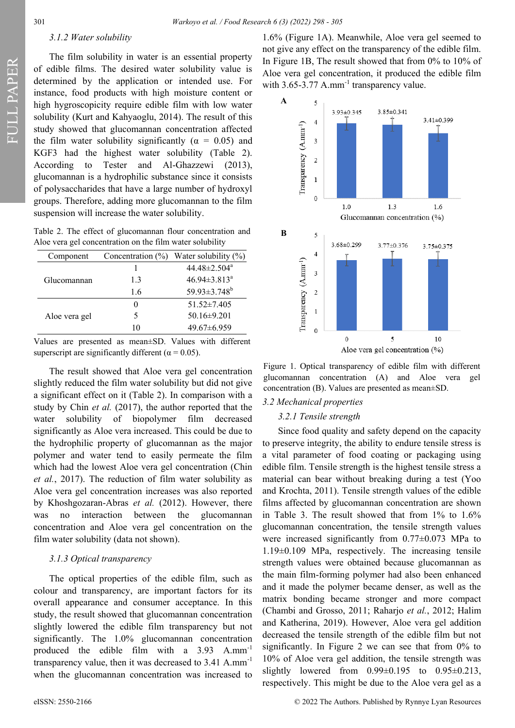#### *3.1.2 Water solubility*

The film solubility in water is an essential property of edible films. The desired water solubility value is determined by the application or intended use. For instance, food products with high moisture content or high hygroscopicity require edible film with low water solubility (Kurt and Kahyaoglu, 2014). The result of this study showed that glucomannan concentration affected the film water solubility significantly ( $\alpha = 0.05$ ) and KGF3 had the highest water solubility (Table 2). According to Tester and Al-Ghazzewi (2013), glucomannan is a hydrophilic substance since it consists of polysaccharides that have a large number of hydroxyl groups. Therefore, adding more glucomannan to the film suspension will increase the water solubility.

Table 2. The effect of glucomannan flour concentration and Aloe vera gel concentration on the film water solubility

| Component     | Concentration $(\% )$ | Water solubility $(\%)$        |
|---------------|-----------------------|--------------------------------|
| Glucomannan   |                       | $44.48 \pm 2.504$ <sup>a</sup> |
|               | 1.3                   | $46.94 \pm 3.813^a$            |
|               | 1.6                   | 59.93±3.748 <sup>b</sup>       |
| Aloe vera gel |                       | $51.52 \pm 7.405$              |
|               |                       | $50.16\pm9.201$                |
|               | 10                    | $49.67\pm 6.959$               |

Values are presented as mean±SD. Values with different superscript are significantly different ( $\alpha$  = 0.05).

The result showed that Aloe vera gel concentration slightly reduced the film water solubility but did not give a significant effect on it (Table 2). In comparison with a study by Chin *et al.* (2017), the author reported that the water solubility of biopolymer film decreased significantly as Aloe vera increased. This could be due to the hydrophilic property of glucomannan as the major polymer and water tend to easily permeate the film which had the lowest Aloe vera gel concentration (Chin *et al.*, 2017). The reduction of film water solubility as Aloe vera gel concentration increases was also reported by Khoshgozaran-Abras *et al.* (2012). However, there was no interaction between the glucomannan concentration and Aloe vera gel concentration on the film water solubility (data not shown).

#### *3.1.3 Optical transparency*

The optical properties of the edible film, such as colour and transparency, are important factors for its overall appearance and consumer acceptance. In this study, the result showed that glucomannan concentration slightly lowered the edible film transparency but not significantly. The 1.0% glucomannan concentration produced the edible film with a 3.93 A.mm-<sup>1</sup> transparency value, then it was decreased to 3.41 A.mm-<sup>1</sup> when the glucomannan concentration was increased to

1.6% (Figure 1A). Meanwhile, Aloe vera gel seemed to not give any effect on the transparency of the edible film. In Figure 1B, The result showed that from 0% to 10% of Aloe vera gel concentration, it produced the edible film with 3.65-3.77 A.mm<sup>-1</sup> transparency value.



Figure 1. Optical transparency of edible film with different glucomannan concentration (A) and Aloe vera gel concentration (B). Values are presented as mean±SD.

#### *3.2 Mechanical properties*

#### *3.2.1 Tensile strength*

Since food quality and safety depend on the capacity to preserve integrity, the ability to endure tensile stress is a vital parameter of food coating or packaging using edible film. Tensile strength is the highest tensile stress a material can bear without breaking during a test (Yoo and Krochta, 2011). Tensile strength values of the edible films affected by glucomannan concentration are shown in Table 3. The result showed that from 1% to 1.6% glucomannan concentration, the tensile strength values were increased significantly from 0.77±0.073 MPa to 1.19±0.109 MPa, respectively. The increasing tensile strength values were obtained because glucomannan as the main film-forming polymer had also been enhanced and it made the polymer became denser, as well as the matrix bonding became stronger and more compact (Chambi and Grosso, 2011; Raharjo *et al.*, 2012; Halim and Katherina, 2019). However, Aloe vera gel addition decreased the tensile strength of the edible film but not significantly. In Figure 2 we can see that from 0% to 10% of Aloe vera gel addition, the tensile strength was slightly lowered from  $0.99\pm0.195$  to  $0.95\pm0.213$ , respectively. This might be due to the Aloe vera gel as a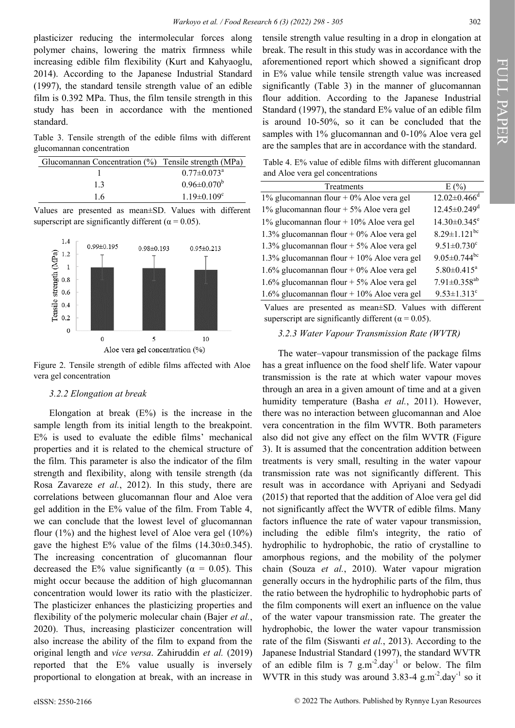plasticizer reducing the intermolecular forces along polymer chains, lowering the matrix firmness while increasing edible film flexibility (Kurt and Kahyaoglu, 2014). According to the Japanese Industrial Standard (1997), the standard tensile strength value of an edible film is 0.392 MPa. Thus, the film tensile strength in this study has been in accordance with the mentioned standard.

Table 3. Tensile strength of the edible films with different glucomannan concentration

| Glucomannan Concentration (%) Tensile strength (MPa) |                               |
|------------------------------------------------------|-------------------------------|
|                                                      | $0.77 \pm 0.073$ <sup>a</sup> |
| 1.3                                                  | $0.96 \pm 0.070^{\rm b}$      |
| 16                                                   | $1.19 \pm 0.109^{\circ}$      |

Values are presented as mean±SD. Values with different superscript are significantly different ( $\alpha$  = 0.05).



Figure 2. Tensile strength of edible films affected with Aloe vera gel concentration

### *3.2.2 Elongation at break*

Elongation at break  $(E%)$  is the increase in the sample length from its initial length to the breakpoint. E% is used to evaluate the edible films' mechanical properties and it is related to the chemical structure of the film. This parameter is also the indicator of the film strength and flexibility, along with tensile strength (da Rosa Zavareze *et al.*, 2012). In this study, there are correlations between glucomannan flour and Aloe vera gel addition in the E% value of the film. From Table 4, we can conclude that the lowest level of glucomannan flour (1%) and the highest level of Aloe vera gel (10%) gave the highest  $E\%$  value of the films  $(14.30\pm0.345)$ . The increasing concentration of glucomannan flour decreased the E% value significantly ( $\alpha = 0.05$ ). This might occur because the addition of high glucomannan concentration would lower its ratio with the plasticizer. The plasticizer enhances the plasticizing properties and flexibility of the polymeric molecular chain (Bajer *et al.*, 2020). Thus, increasing plasticizer concentration will also increase the ability of the film to expand from the original length and *vice versa*. Zahiruddin *et al.* (2019) reported that the E% value usually is inversely proportional to elongation at break, with an increase in

tensile strength value resulting in a drop in elongation at break. The result in this study was in accordance with the aforementioned report which showed a significant drop in E% value while tensile strength value was increased significantly (Table 3) in the manner of glucomannan flour addition. According to the Japanese Industrial Standard (1997), the standard E% value of an edible film is around 10-50%, so it can be concluded that the samples with 1% glucomannan and 0-10% Aloe vera gel are the samples that are in accordance with the standard.

Table 4. E% value of edible films with different glucomannan and Aloe vera gel concentrations

| Treatments                                    | E(%)                           |
|-----------------------------------------------|--------------------------------|
| 1% glucomannan flour + 0% Aloe vera gel       | $12.02 \pm 0.466$ <sup>d</sup> |
| 1% glucomannan flour + 5% Aloe vera gel       | $12.45 \pm 0.249$ <sup>d</sup> |
| 1% glucomannan flour + 10% Aloe vera gel      | $14.30 \pm 0.345$ <sup>e</sup> |
| 1.3% glucomannan flour + 0% Aloe vera gel     | $8.29 \pm 1.121$ <sup>bc</sup> |
| 1.3% glucomannan flour + 5% Aloe vera gel     | $9.51 \pm 0.730$ <sup>c</sup>  |
| 1.3% glucomannan flour + $10\%$ Aloe vera gel | $9.05 \pm 0.744$ bc            |
| 1.6% glucomannan flour + 0% Aloe vera gel     | $5.80 \pm 0.415^a$             |
| 1.6% glucomannan flour + 5% Aloe vera gel     | $7.91 \pm 0.358$ <sup>ab</sup> |
| 1.6% glucomannan flour + 10% Aloe vera gel    | $9.53 \pm 1.313$ <sup>c</sup>  |

Values are presented as mean±SD. Values with different superscript are significantly different ( $\alpha$  = 0.05).

#### *3.2.3 Water Vapour Transmission Rate (WVTR)*

The water–vapour transmission of the package films has a great influence on the food shelf life. Water vapour transmission is the rate at which water vapour moves through an area in a given amount of time and at a given humidity temperature (Basha *et al.*, 2011). However, there was no interaction between glucomannan and Aloe vera concentration in the film WVTR. Both parameters also did not give any effect on the film WVTR (Figure 3). It is assumed that the concentration addition between treatments is very small, resulting in the water vapour transmission rate was not significantly different. This result was in accordance with Apriyani and Sedyadi (2015) that reported that the addition of Aloe vera gel did not significantly affect the WVTR of edible films. Many factors influence the rate of water vapour transmission, including the edible film's integrity, the ratio of hydrophilic to hydrophobic, the ratio of crystalline to amorphous regions, and the mobility of the polymer chain (Souza *et al.*, 2010). Water vapour migration generally occurs in the hydrophilic parts of the film, thus the ratio between the hydrophilic to hydrophobic parts of the film components will exert an influence on the value of the water vapour transmission rate. The greater the hydrophobic, the lower the water vapour transmission rate of the film (Siswanti *et al.*, 2013). According to the Japanese Industrial Standard (1997), the standard WVTR of an edible film is  $7 \text{ g.m}^{-2}$ .day<sup>-1</sup> or below. The film WVTR in this study was around  $3.83-4$  g.m<sup>-2</sup>.day<sup>-1</sup> so it FULL PAPER

FULL PAPER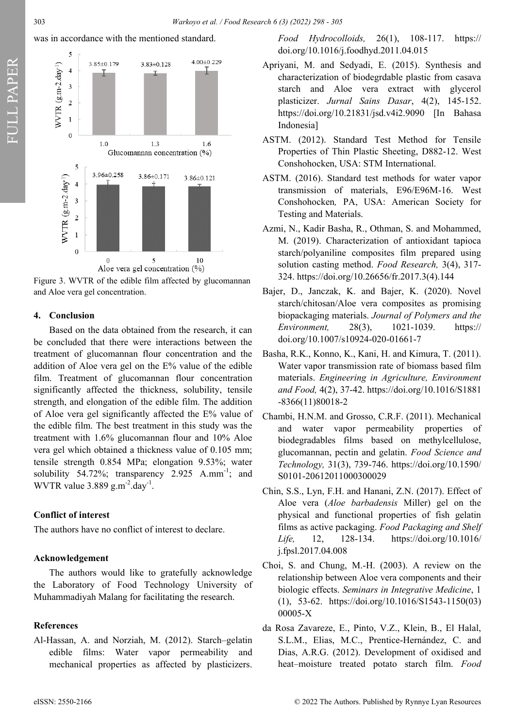







### **4. Conclusion**

Based on the data obtained from the research, it can be concluded that there were interactions between the treatment of glucomannan flour concentration and the addition of Aloe vera gel on the E% value of the edible film. Treatment of glucomannan flour concentration significantly affected the thickness, solubility, tensile strength, and elongation of the edible film. The addition of Aloe vera gel significantly affected the E% value of the edible film. The best treatment in this study was the treatment with 1.6% glucomannan flour and 10% Aloe vera gel which obtained a thickness value of 0.105 mm; tensile strength 0.854 MPa; elongation 9.53%; water solubility 54.72%; transparency 2.925  $A.mm^{-1}$ ; and WVTR value  $3.889$  g.m<sup>-2</sup>.day<sup>-1</sup>.

# **Conflict of interest**

The authors have no conflict of interest to declare.

# **Acknowledgement**

The authors would like to gratefully acknowledge the Laboratory of Food Technology University of Muhammadiyah Malang for facilitating the research.

# **References**

Al-Hassan, A. and Norziah, M. (2012). Starch–gelatin edible films: Water vapor permeability and mechanical properties as affected by plasticizers.

*Food Hydrocolloids,* 26(1), 108-117. https:// doi.org/10.1016/j.foodhyd.2011.04.015

- Apriyani, M. and Sedyadi, E. (2015). Synthesis and characterization of biodegrdable plastic from casava starch and Aloe vera extract with glycerol plasticizer. *Jurnal Sains Dasar*, 4(2), 145-152. https://doi.org/10.21831/jsd.v4i2.9090 [In Bahasa Indonesia]
- ASTM. (2012). Standard Test Method for Tensile Properties of Thin Plastic Sheeting, D882-12. West Conshohocken, USA: STM International.
- ASTM. (2016). Standard test methods for water vapor transmission of materials, E96/E96M‐16. West Conshohocken*,* PA, USA: American Society for Testing and Materials.
- Azmi, N., Kadir Basha, R., Othman, S. and Mohammed, M. (2019). Characterization of antioxidant tapioca starch/polyaniline composites film prepared using solution casting method. *Food Research,* 3(4), 317- 324. https://doi.org/10.26656/fr.2017.3(4).144
- Bajer, D., Janczak, K. and Bajer, K. (2020). Novel starch/chitosan/Aloe vera composites as promising biopackaging materials. *Journal of Polymers and the Environment,* 28(3), 1021-1039. https:// doi.org/10.1007/s10924-020-01661-7
- Basha, R.K., Konno, K., Kani, H. and Kimura, T. (2011). Water vapor transmission rate of biomass based film materials. *Engineering in Agriculture, Environment and Food,* 4(2), 37-42. https://doi.org/10.1016/S1881 -8366(11)80018-2
- Chambi, H.N.M. and Grosso, C.R.F. (2011). Mechanical and water vapor permeability properties of biodegradables films based on methylcellulose, glucomannan, pectin and gelatin. *Food Science and Technology,* 31(3), 739-746. https://doi.org/10.1590/ S0101-20612011000300029
- Chin, S.S., Lyn, F.H. and Hanani, Z.N. (2017). Effect of Aloe vera (*Aloe barbadensis* Miller) gel on the physical and functional properties of fish gelatin films as active packaging. *Food Packaging and Shelf Life,* 12, 128-134. https://doi.org/10.1016/ j.fpsl.2017.04.008
- Choi, S. and Chung, M.-H. (2003). A review on the relationship between Aloe vera components and their biologic effects. *Seminars in Integrative Medicine*, 1 (1), 53-62. https://doi.org/10.1016/S1543-1150(03) 00005-X
- da Rosa Zavareze, E., Pinto, V.Z., Klein, B., El Halal, S.L.M., Elias, M.C., Prentice-Hernández, C. and Dias, A.R.G. (2012). Development of oxidised and heat–moisture treated potato starch film. *Food*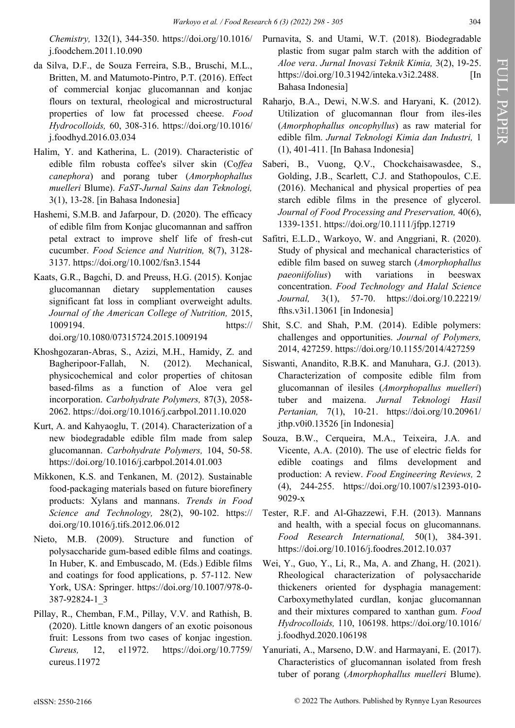*Chemistry,* 132(1), 344-350. https://doi.org/10.1016/ j.foodchem.2011.10.090

- da Silva, D.F., de Souza Ferreira, S.B., Bruschi, M.L., Britten, M. and Matumoto-Pintro, P.T. (2016). Effect of commercial konjac glucomannan and konjac flours on textural, rheological and microstructural properties of low fat processed cheese. *Food Hydrocolloids,* 60, 308-316. https://doi.org/10.1016/ j.foodhyd.2016.03.034
- Halim, Y. and Katherina, L. (2019). Characteristic of edible film robusta coffee's silver skin (Co*ffea canephora*) and porang tuber (*Amorphophallus muelleri* Blume). *FaST-Jurnal Sains dan Teknologi,*  3(1), 13-28. [in Bahasa Indonesia]
- Hashemi, S.M.B. and Jafarpour, D. (2020). The efficacy of edible film from Konjac glucomannan and saffron petal extract to improve shelf life of fresh‐cut cucumber. *Food Science and Nutrition,* 8(7), 3128- 3137. https://doi.org/10.1002/fsn3.1544
- Kaats, G.R., Bagchi, D. and Preuss, H.G. (2015). Konjac glucomannan dietary supplementation causes significant fat loss in compliant overweight adults. *Journal of the American College of Nutrition,* 2015, 1009194. https:// doi.org/10.1080/07315724.2015.1009194
- Khoshgozaran-Abras, S., Azizi, M.H., Hamidy, Z. and Bagheripoor-Fallah, N. (2012). Mechanical, physicochemical and color properties of chitosan based-films as a function of Aloe vera gel incorporation. *Carbohydrate Polymers,* 87(3), 2058- 2062. https://doi.org/10.1016/j.carbpol.2011.10.020
- Kurt, A. and Kahyaoglu, T. (2014). Characterization of a new biodegradable edible film made from salep glucomannan. *Carbohydrate Polymers,* 104, 50-58. https://doi.org/10.1016/j.carbpol.2014.01.003
- Mikkonen, K.S. and Tenkanen, M. (2012). Sustainable food-packaging materials based on future biorefinery products: Xylans and mannans. *Trends in Food Science and Technology,* 28(2), 90-102. https:// doi.org/10.1016/j.tifs.2012.06.012
- Nieto, M.B. (2009). Structure and function of polysaccharide gum-based edible films and coatings. In Huber, K. and Embuscado, M. (Eds.) Edible films and coatings for food applications, p. 57-112. New York, USA: Springer. https://doi.org/10.1007/978-0- 387-92824-1\_3
- Pillay, R., Chemban, F.M., Pillay, V.V. and Rathish, B. (2020). Little known dangers of an exotic poisonous fruit: Lessons from two cases of konjac ingestion. *Cureus,* 12, e11972. https://doi.org/10.7759/ cureus.11972
- Purnavita, S. and Utami, W.T. (2018). Biodegradable plastic from sugar palm starch with the addition of *Aloe vera*. *Jurnal Inovasi Teknik Kimia,* 3(2), 19-25. https://doi.org/10.31942/inteka.v3i2.2488. [In Bahasa Indonesia]
- Rahario, B.A., Dewi, N.W.S. and Haryani, K. (2012). Utilization of glucomannan flour from iles-iles (*Amorphophallus oncophyllus*) as raw material for edible film. *Jurnal Teknologi Kimia dan Industri,* 1 (1), 401-411. [In Bahasa Indonesia]
- Saberi, B., Vuong, Q.V., Chockchaisawasdee, S., Golding, J.B., Scarlett, C.J. and Stathopoulos, C.E. (2016). Mechanical and physical properties of pea starch edible films in the presence of glycerol. *Journal of Food Processing and Preservation,* 40(6), 1339-1351. https://doi.org/10.1111/jfpp.12719
- Safitri, E.L.D., Warkoyo, W. and Anggriani, R. (2020). Study of physical and mechanical characteristics of edible film based on suweg starch (*Amorphophallus paeoniifolius*) with variations in beeswax concentration. *Food Technology and Halal Science Journal,* 3(1), 57-70. https://doi.org/10.22219/ fths.v3i1.13061 [in Indonesia]
- Shit, S.C. and Shah, P.M. (2014). Edible polymers: challenges and opportunities. *Journal of Polymers,*  2014, 427259. https://doi.org/10.1155/2014/427259
- Siswanti, Anandito, R.B.K. and Manuhara, G.J. (2013). Characterization of composite edible film from glucomannan of ilesiles (*Amorphopallus muelleri*) tuber and maizena. *Jurnal Teknologi Hasil Pertanian,* 7(1), 10-21. https://doi.org/10.20961/ jthp.v0i0.13526 [in Indonesia]
- Souza, B.W., Cerqueira, M.A., Teixeira, J.A. and Vicente, A.A. (2010). The use of electric fields for edible coatings and films development and production: A review. *Food Engineering Reviews,* 2 (4), 244-255. https://doi.org/10.1007/s12393-010- 9029-x
- Tester, R.F. and Al-Ghazzewi, F.H. (2013). Mannans and health, with a special focus on glucomannans. *Food Research International,* 50(1), 384-391. https://doi.org/10.1016/j.foodres.2012.10.037
- Wei, Y., Guo, Y., Li, R., Ma, A. and Zhang, H. (2021). Rheological characterization of polysaccharide thickeners oriented for dysphagia management: Carboxymethylated curdlan, konjac glucomannan and their mixtures compared to xanthan gum. *Food Hydrocolloids,* 110, 106198. https://doi.org/10.1016/ j.foodhyd.2020.106198
- Yanuriati, A., Marseno, D.W. and Harmayani, E. (2017). Characteristics of glucomannan isolated from fresh tuber of porang (*Amorphophallus muelleri* Blume).